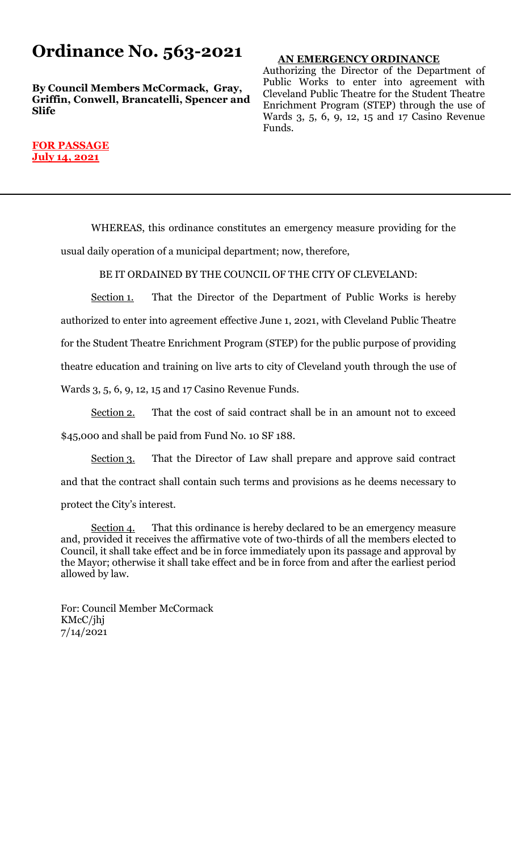## **Ordinance No. 563-2021**

**By Council Members McCormack, Gray, Griffin, Conwell, Brancatelli, Spencer and Slife**

### **AN EMERGENCY ORDINANCE**

Authorizing the Director of the Department of Public Works to enter into agreement with Cleveland Public Theatre for the Student Theatre Enrichment Program (STEP) through the use of Wards 3, 5, 6, 9, 12, 15 and 17 Casino Revenue Funds.

#### **FOR PASSAGE July 14, 2021**

WHEREAS, this ordinance constitutes an emergency measure providing for the usual daily operation of a municipal department; now, therefore,

BE IT ORDAINED BY THE COUNCIL OF THE CITY OF CLEVELAND:

Section 1. That the Director of the Department of Public Works is hereby authorized to enter into agreement effective June 1, 2021, with Cleveland Public Theatre for the Student Theatre Enrichment Program (STEP) for the public purpose of providing theatre education and training on live arts to city of Cleveland youth through the use of Wards 3, 5, 6, 9, 12, 15 and 17 Casino Revenue Funds.

Section 2. That the cost of said contract shall be in an amount not to exceed \$45,000 and shall be paid from Fund No. 10 SF 188.

Section 3. That the Director of Law shall prepare and approve said contract and that the contract shall contain such terms and provisions as he deems necessary to protect the City's interest.

Section 4. That this ordinance is hereby declared to be an emergency measure and, provided it receives the affirmative vote of two-thirds of all the members elected to Council, it shall take effect and be in force immediately upon its passage and approval by the Mayor; otherwise it shall take effect and be in force from and after the earliest period allowed by law.

For: Council Member McCormack KMcC/jhj 7/14/2021